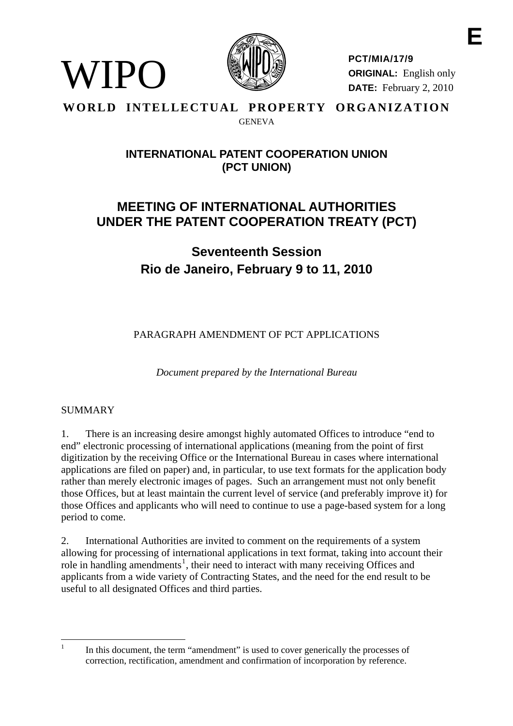

**PCT/MIA/17/9 ORIGINAL:** English only **DATE:** February 2, 2010

**E** 

#### **WORLD INTELLECTUAL PROPERTY ORGANIZATION GENEVA**

### **INTERNATIONAL PATENT COOPERATION UNION (PCT UNION)**

## **MEETING OF INTERNATIONAL AUTHORITIES UNDER THE PATENT COOPERATION TREATY (PCT)**

# **Seventeenth Session Rio de Janeiro, February 9 to 11, 2010**

PARAGRAPH AMENDMENT OF PCT APPLICATIONS

*Document prepared by the International Bureau* 

#### SUMMARY

WIPO

1. There is an increasing desire amongst highly automated Offices to introduce "end to end" electronic processing of international applications (meaning from the point of first digitization by the receiving Office or the International Bureau in cases where international applications are filed on paper) and, in particular, to use text formats for the application body rather than merely electronic images of pages. Such an arrangement must not only benefit those Offices, but at least maintain the current level of service (and preferably improve it) for those Offices and applicants who will need to continue to use a page-based system for a long period to come.

2. International Authorities are invited to comment on the requirements of a system allowing for processing of international applications in text format, taking into account their role in handling amendments<sup>[1](#page-0-0)</sup>, their need to interact with many receiving Offices and applicants from a wide variety of Contracting States, and the need for the end result to be useful to all designated Offices and third parties.

<span id="page-0-0"></span> $\frac{1}{1}$ 

In this document, the term "amendment" is used to cover generically the processes of correction, rectification, amendment and confirmation of incorporation by reference.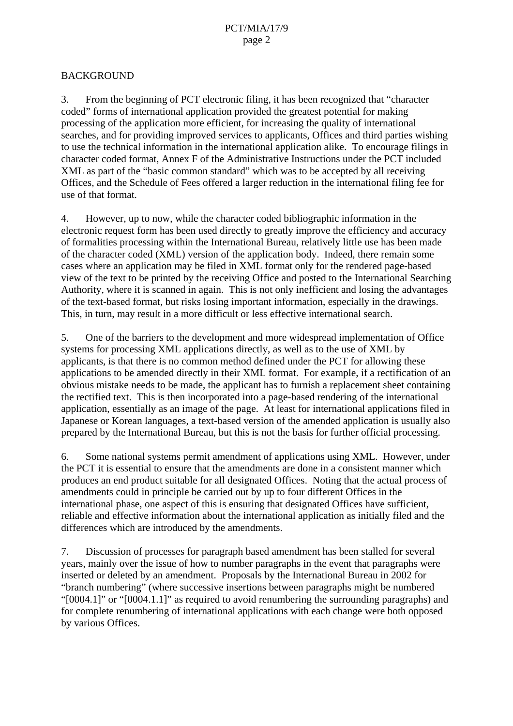#### BACKGROUND

3. From the beginning of PCT electronic filing, it has been recognized that "character coded" forms of international application provided the greatest potential for making processing of the application more efficient, for increasing the quality of international searches, and for providing improved services to applicants, Offices and third parties wishing to use the technical information in the international application alike. To encourage filings in character coded format, Annex F of the Administrative Instructions under the PCT included XML as part of the "basic common standard" which was to be accepted by all receiving Offices, and the Schedule of Fees offered a larger reduction in the international filing fee for use of that format.

4. However, up to now, while the character coded bibliographic information in the electronic request form has been used directly to greatly improve the efficiency and accuracy of formalities processing within the International Bureau, relatively little use has been made of the character coded (XML) version of the application body. Indeed, there remain some cases where an application may be filed in XML format only for the rendered page-based view of the text to be printed by the receiving Office and posted to the International Searching Authority, where it is scanned in again. This is not only inefficient and losing the advantages of the text-based format, but risks losing important information, especially in the drawings. This, in turn, may result in a more difficult or less effective international search.

5. One of the barriers to the development and more widespread implementation of Office systems for processing XML applications directly, as well as to the use of XML by applicants, is that there is no common method defined under the PCT for allowing these applications to be amended directly in their XML format. For example, if a rectification of an obvious mistake needs to be made, the applicant has to furnish a replacement sheet containing the rectified text. This is then incorporated into a page-based rendering of the international application, essentially as an image of the page. At least for international applications filed in Japanese or Korean languages, a text-based version of the amended application is usually also prepared by the International Bureau, but this is not the basis for further official processing.

6. Some national systems permit amendment of applications using XML. However, under the PCT it is essential to ensure that the amendments are done in a consistent manner which produces an end product suitable for all designated Offices. Noting that the actual process of amendments could in principle be carried out by up to four different Offices in the international phase, one aspect of this is ensuring that designated Offices have sufficient, reliable and effective information about the international application as initially filed and the differences which are introduced by the amendments.

7. Discussion of processes for paragraph based amendment has been stalled for several years, mainly over the issue of how to number paragraphs in the event that paragraphs were inserted or deleted by an amendment. Proposals by the International Bureau in 2002 for "branch numbering" (where successive insertions between paragraphs might be numbered "[0004.1]" or "[0004.1.1]" as required to avoid renumbering the surrounding paragraphs) and for complete renumbering of international applications with each change were both opposed by various Offices.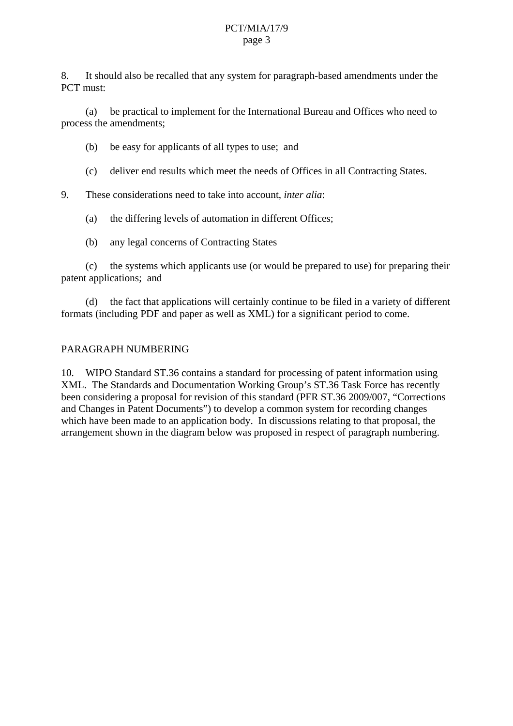#### PCT/MIA/17/9 page 3

8. It should also be recalled that any system for paragraph-based amendments under the PCT must:

 (a) be practical to implement for the International Bureau and Offices who need to process the amendments;

(b) be easy for applicants of all types to use; and

(c) deliver end results which meet the needs of Offices in all Contracting States.

9. These considerations need to take into account, *inter alia*:

(a) the differing levels of automation in different Offices;

(b) any legal concerns of Contracting States

 (c) the systems which applicants use (or would be prepared to use) for preparing their patent applications; and

 (d) the fact that applications will certainly continue to be filed in a variety of different formats (including PDF and paper as well as XML) for a significant period to come.

#### PARAGRAPH NUMBERING

<span id="page-2-0"></span>10. WIPO Standard ST.36 contains a standard for processing of patent information using XML. The Standards and Documentation Working Group's ST.36 Task Force has recently been considering a proposal for revision of this standard (PFR ST.36 2009/007, "Corrections and Changes in Patent Documents") to develop a common system for recording changes which have been made to an application body. In discussions relating to that proposal, the arrangement shown in the diagram below was proposed in respect of paragraph numbering.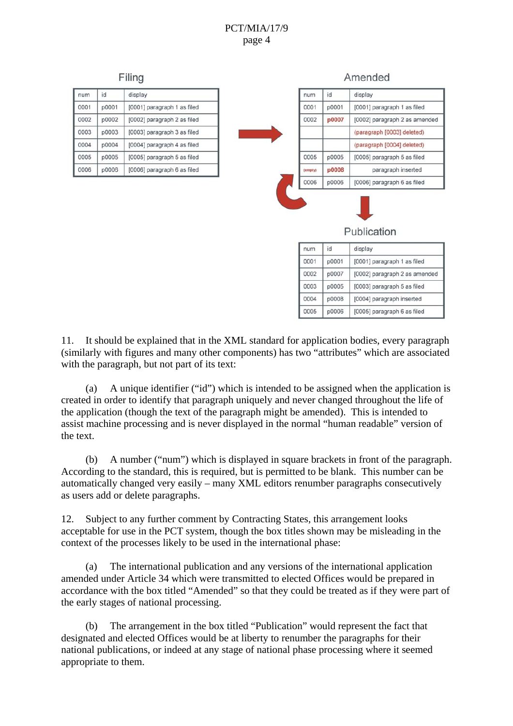#### PCT/MIA/17/9 page 4



11. It should be explained that in the XML standard for application bodies, every paragraph (similarly with figures and many other components) has two "attributes" which are associated with the paragraph, but not part of its text:

0004

0005

p0008

 $00006$ 

[0004] paragraph inserted

[0005] paragraph 6 as filed

 (a) A unique identifier ("id") which is intended to be assigned when the application is created in order to identify that paragraph uniquely and never changed throughout the life of the application (though the text of the paragraph might be amended). This is intended to assist machine processing and is never displayed in the normal "human readable" version of the text.

 (b) A number ("num") which is displayed in square brackets in front of the paragraph. According to the standard, this is required, but is permitted to be blank. This number can be automatically changed very easily – many XML editors renumber paragraphs consecutively as users add or delete paragraphs.

12. Subject to any further comment by Contracting States, this arrangement looks acceptable for use in the PCT system, though the box titles shown may be misleading in the context of the processes likely to be used in the international phase:

 (a) The international publication and any versions of the international application amended under Article 34 which were transmitted to elected Offices would be prepared in accordance with the box titled "Amended" so that they could be treated as if they were part of the early stages of national processing.

 (b) The arrangement in the box titled "Publication" would represent the fact that designated and elected Offices would be at liberty to renumber the paragraphs for their national publications, or indeed at any stage of national phase processing where it seemed appropriate to them.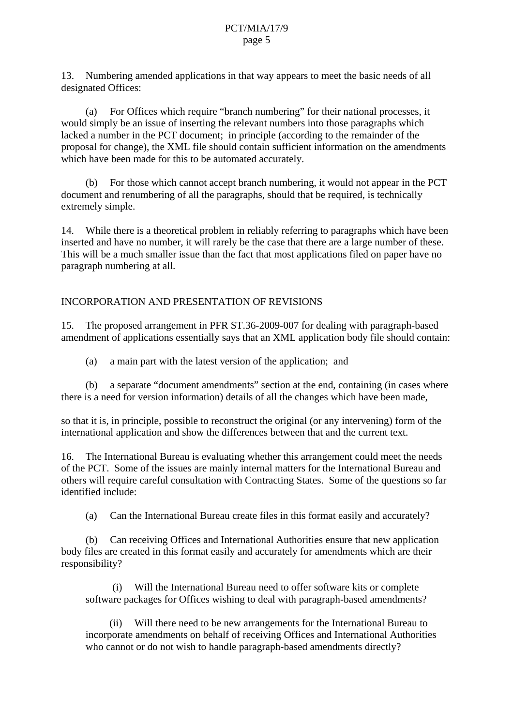13. Numbering amended applications in that way appears to meet the basic needs of all designated Offices:

 (a) For Offices which require "branch numbering" for their national processes, it would simply be an issue of inserting the relevant numbers into those paragraphs which lacked a number in the PCT document; in principle (according to the remainder of the proposal for change), the XML file should contain sufficient information on the amendments which have been made for this to be automated accurately.

 (b) For those which cannot accept branch numbering, it would not appear in the PCT document and renumbering of all the paragraphs, should that be required, is technically extremely simple.

<span id="page-4-0"></span>14. While there is a theoretical problem in reliably referring to paragraphs which have been inserted and have no number, it will rarely be the case that there are a large number of these. This will be a much smaller issue than the fact that most applications filed on paper have no paragraph numbering at all.

#### INCORPORATION AND PRESENTATION OF REVISIONS

15. The proposed arrangement in PFR ST.36-2009-007 for dealing with paragraph-based amendment of applications essentially says that an XML application body file should contain:

(a) a main part with the latest version of the application; and

 (b) a separate "document amendments" section at the end, containing (in cases where there is a need for version information) details of all the changes which have been made,

so that it is, in principle, possible to reconstruct the original (or any intervening) form of the international application and show the differences between that and the current text.

<span id="page-4-1"></span>16. The International Bureau is evaluating whether this arrangement could meet the needs of the PCT. Some of the issues are mainly internal matters for the International Bureau and others will require careful consultation with Contracting States. Some of the questions so far identified include:

(a) Can the International Bureau create files in this format easily and accurately?

 (b) Can receiving Offices and International Authorities ensure that new application body files are created in this format easily and accurately for amendments which are their responsibility?

 (i) Will the International Bureau need to offer software kits or complete software packages for Offices wishing to deal with paragraph-based amendments?

 (ii) Will there need to be new arrangements for the International Bureau to incorporate amendments on behalf of receiving Offices and International Authorities who cannot or do not wish to handle paragraph-based amendments directly?